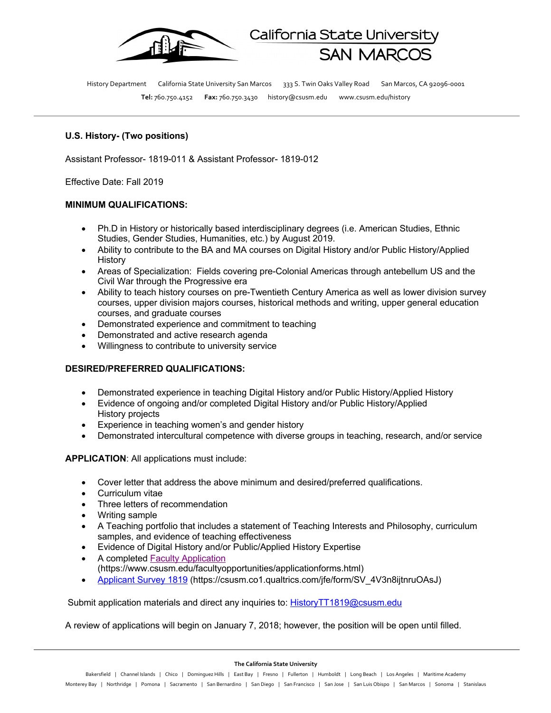

History Department California State University San Marcos 333 S. Twin Oaks Valley Road San Marcos, CA 92096-0001 **Tel:** 760.750.4152 **Fax:** 760.750.3430 history@csusm.edu www.csusm.edu/history

California State Universi

## **U.S. History- (Two positions)**

Assistant Professor- 1819-011 & Assistant Professor- 1819-012

Effective Date: Fall 2019

## **MINIMUM QUALIFICATIONS:**

- Ph.D in History or historically based interdisciplinary degrees (i.e. American Studies, Ethnic Studies, Gender Studies, Humanities, etc.) by August 2019.
- Ability to contribute to the BA and MA courses on Digital History and/or Public History/Applied History
- Areas of Specialization: Fields covering pre-Colonial Americas through antebellum US and the Civil War through the Progressive era
- Ability to teach history courses on pre-Twentieth Century America as well as lower division survey courses, upper division majors courses, historical methods and writing, upper general education courses, and graduate courses
- Demonstrated experience and commitment to teaching
- Demonstrated and active research agenda
- Willingness to contribute to university service

## **DESIRED/PREFERRED QUALIFICATIONS:**

- Demonstrated experience in teaching Digital History and/or Public History/Applied History
- Evidence of ongoing and/or completed Digital History and/or Public History/Applied History projects
- Experience in teaching women's and gender history
- Demonstrated intercultural competence with diverse groups in teaching, research, and/or service

**APPLICATION**: All applications must include:

- Cover letter that address the above minimum and desired/preferred qualifications.
- Curriculum vitae
- Three letters of recommendation
- Writing sample
- A Teaching portfolio that includes a statement of Teaching Interests and Philosophy, curriculum samples, and evidence of teaching effectiveness
- Evidence of Digital History and/or Public/Applied History Expertise
- A completed Faculty Application
- (https://www.csusm.edu/facultyopportunities/applicationforms.html)
- Applicant Survey 1819 (https://csusm.co1.qualtrics.com/jfe/form/SV\_4V3n8ijtnruOAsJ)

Submit application materials and direct any inquiries to: HistoryTT1819@csusm.edu

A review of applications will begin on January 7, 2018; however, the position will be open until filled.

**The California State University**